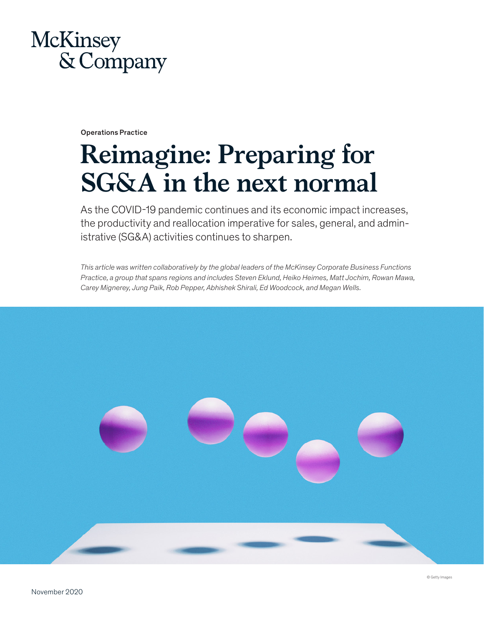

Operations Practice

# **Reimagine: Preparing for SG&A in the next normal**

As the COVID-19 pandemic continues and its economic impact increases, the productivity and reallocation imperative for sales, general, and administrative (SG&A) activities continues to sharpen.

*This article was written collaboratively by the global leaders of the McKinsey Corporate Business Functions Practice, a group that spans regions and includes Steven Eklund, Heiko Heimes, Matt Jochim, Rowan Mawa, Carey Mignerey, Jung Paik, Rob Pepper, Abhishek Shirali, Ed Woodcock, and Megan Wells.* 

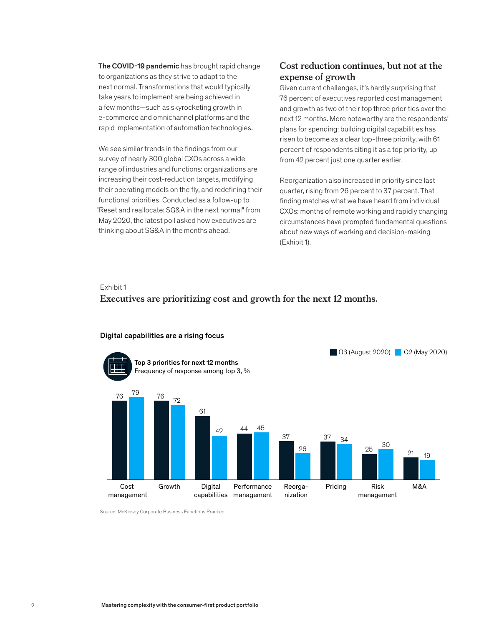The COVID-19 pandemic has brought rapid change to organizations as they strive to adapt to the next normal. Transformations that would typically take years to implement are being achieved in a few months—such as skyrocketing growth in e-commerce and omnichannel platforms and the rapid implementation of automation technologies.

We see similar trends in the findings from our survey of nearly 300 global CXOs across a wide range of industries and functions: organizations are increasing their cost-reduction targets, modifying their operating models on the fly, and redefining their functional priorities. Conducted as a follow-up to "Reset and reallocate: SG&A in the next normal" from May 2020, the latest poll asked how executives are thinking about SG&A in the months ahead.

### **Cost reduction continues, but not at the expense of growth**

Given current challenges, it's hardly surprising that 76 percent of executives reported cost management and growth as two of their top three priorities over the next 12 months. More noteworthy are the respondents' plans for spending: building digital capabilities has risen to become as a clear top-three priority, with 61 percent of respondents citing it as a top priority, up from 42 percent just one quarter earlier.

Reorganization also increased in priority since last quarter, rising from 26 percent to 37 percent. That finding matches what we have heard from individual CXOs: months of remote working and rapidly changing circumstances have prompted fundamental questions about new ways of working and decision-making (Exhibit 1).

### Exhibit 1

### **Executives are prioritizing cost and growth for the next 12 months.**



### Digital capabilities are a rising focus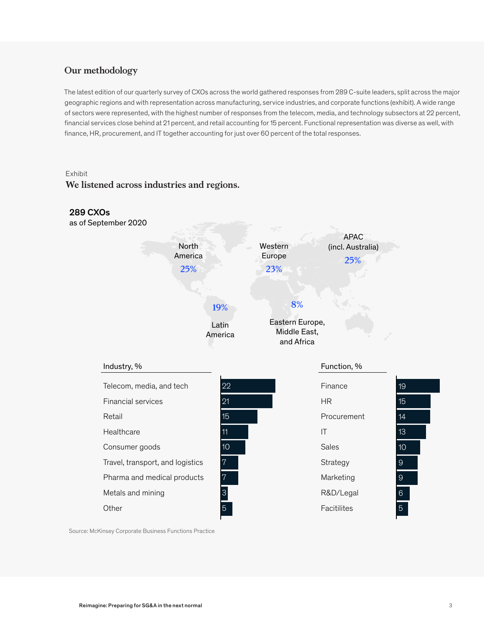### **Our methodology**

The latest edition of our quarterly survey of CXOs across the world gathered responses from 289 C-suite leaders, split across the major geographic regions and with representation across manufacturing, service industries, and corporate functions (exhibit). A wide range of sectors were represented, with the highest number of responses from the telecom, media, and technology subsectors at 22 percent, financial services close behind at 21 percent, and retail accounting for 15 percent. Functional representation was diverse as well, with finance, HR, procurement, and IT together accounting for just over 60 percent of the total responses.

### Exhibit **We listened across industries and regions.** We listened across industries and regions.

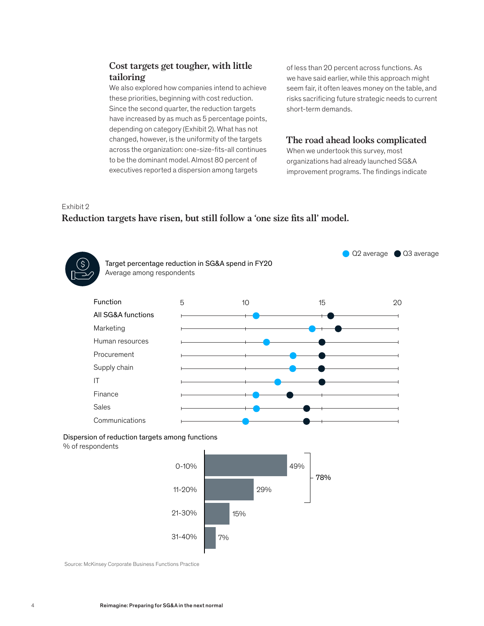### **Cost targets get tougher, with little tailoring**

We also explored how companies intend to achieve these priorities, beginning with cost reduction. Since the second quarter, the reduction targets have increased by as much as 5 percentage points, depending on category (Exhibit 2). What has not changed, however, is the uniformity of the targets across the organization: one-size-fits-all continues to be the dominant model. Almost 80 percent of executives reported a dispersion among targets

of less than 20 percent across functions. As we have said earlier, while this approach might seem fair, it often leaves money on the table, and risks sacrificing future strategic needs to current short-term demands.

### **The road ahead looks complicated**

When we undertook this survey, most organizations had already launched SG&A improvement programs. The findings indicate

Exhibit 2

### <u>ramon r</u><br>Reduction targets have risen, but still follow a 'one size fits all' model.



Dispersion of reduction targets among functions % of respondents

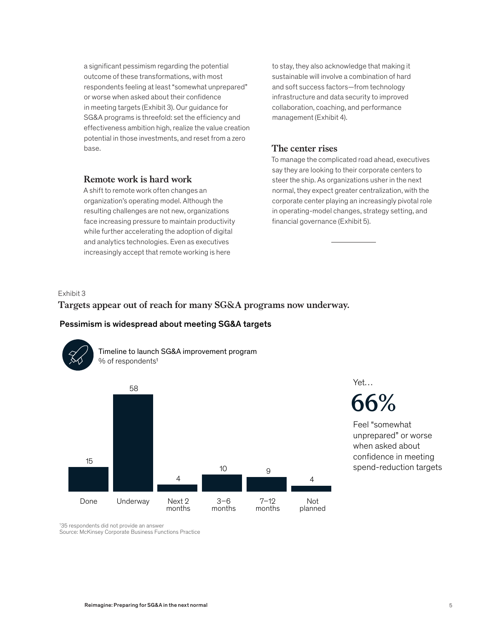a significant pessimism regarding the potential outcome of these transformations, with most respondents feeling at least "somewhat unprepared" or worse when asked about their confidence in meeting targets (Exhibit 3). Our guidance for SG&A programs is threefold: set the efficiency and effectiveness ambition high, realize the value creation potential in those investments, and reset from a zero base.

### **Remote work is hard work**

A shift to remote work often changes an organization's operating model. Although the resulting challenges are not new, organizations face increasing pressure to maintain productivity while further accelerating the adoption of digital and analytics technologies. Even as executives increasingly accept that remote working is here

to stay, they also acknowledge that making it sustainable will involve a combination of hard and soft success factors—from technology infrastructure and data security to improved collaboration, coaching, and performance management (Exhibit 4).

### **The center rises**

To manage the complicated road ahead, executives say they are looking to their corporate centers to steer the ship. As organizations usher in the next normal, they expect greater centralization, with the corporate center playing an increasingly pivotal role in operating-model changes, strategy setting, and financial governance (Exhibit 5).

### Exhibit 3

**Targets appear out of reach for many SG&A programs now underway.**  Targets appear out of reach for many SG&A programs now underway.

### Pessimism is widespread about meeting SG&A targets



Timeline to launch SG&A improvement program % of respondents<sup>1</sup>



Yet…

**66%**

Feel "somewhat unprepared" or worse when asked about confidence in meeting spend-reduction targets

1 35 respondents did not provide an answer Source: McKinsey Corporate Business Functions Practice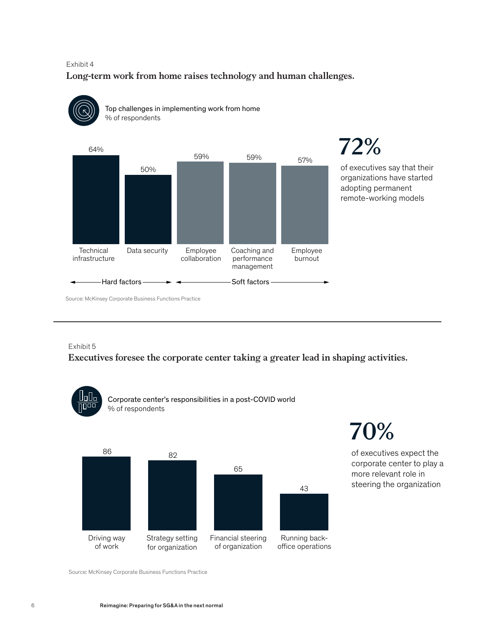### Exhibit 4

**Long-term work from home raises technology and human challenges.** Long-term work from home raises technology and human challenges.



of executives say that their organizations have started adopting permanent remote-working models

Source: McKinsey Corporate Business Functions Practice

### Exhibit 5

**Executives foresee the corporate center taking a greater lead in shaping activities.** Executives foresee the corporate center taking a greater lead in shaping  $\overline{\phantom{a}}$ 



Corporate center's responsibilities in a post-COVID world % of respondents



## **70%**

of executives expect the corporate center to play a more relevant role in steering the organization